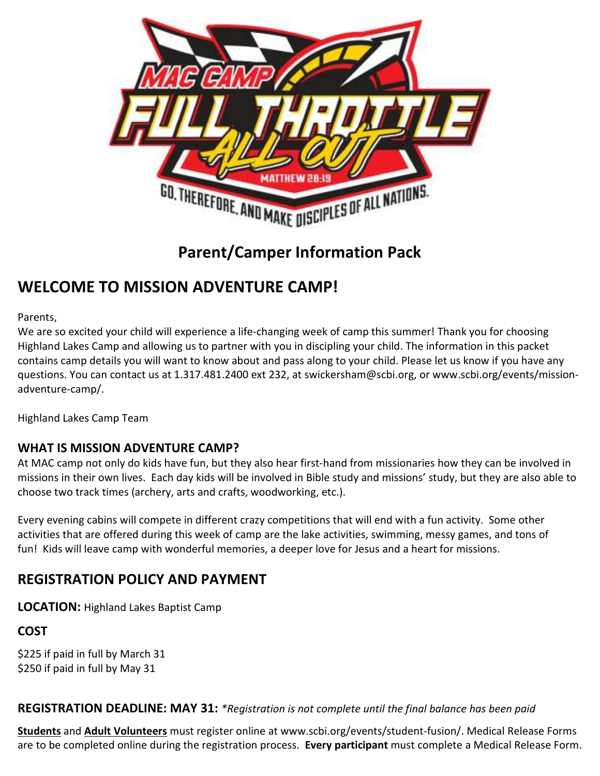

**Parent/Camper Information Pack** 

# **WELCOME TO MISSION ADVENTURE CAMP!**

Parents,

We are so excited your child will experience a life-changing week of camp this summer! Thank you for choosing Highland Lakes Camp and allowing us to partner with you in discipling your child. The information in this packet contains camp details you will want to know about and pass along to your child. Please let us know if you have any questions. You can contact us at 1.317.481.2400 ext 232, at swickersham@scbi.org, or www.scbi.org/events/missionadventure-camp/.

Highland Lakes Camp Team

### **WHAT IS MISSION ADVENTURE CAMP?**

At MAC camp not only do kids have fun, but they also hear first-hand from missionaries how they can be involved in missions in their own lives. Each day kids will be involved in Bible study and missions' study, but they are also able to choose two track times (archery, arts and crafts, woodworking, etc.).

Every evening cabins will compete in different crazy competitions that will end with a fun activity. Some other activities that are offered during this week of camp are the lake activities, swimming, messy games, and tons of fun! Kids will leave camp with wonderful memories, a deeper love for Jesus and a heart for missions.

# **REGISTRATION POLICY AND PAYMENT**

**LOCATION:** Highland Lakes Baptist Camp

**COST** 

\$225 if paid in full by March 31 \$250 if paid in full by May 31

**REGISTRATION DEADLINE: MAY 31:** *\*Registration is not complete until the final balance has been paid*

**Students** and **Adult Volunteers** must register online at www.scbi.org/events/student-fusion/. Medical Release Forms are to be completed online during the registration process. **Every participant** must complete a Medical Release Form.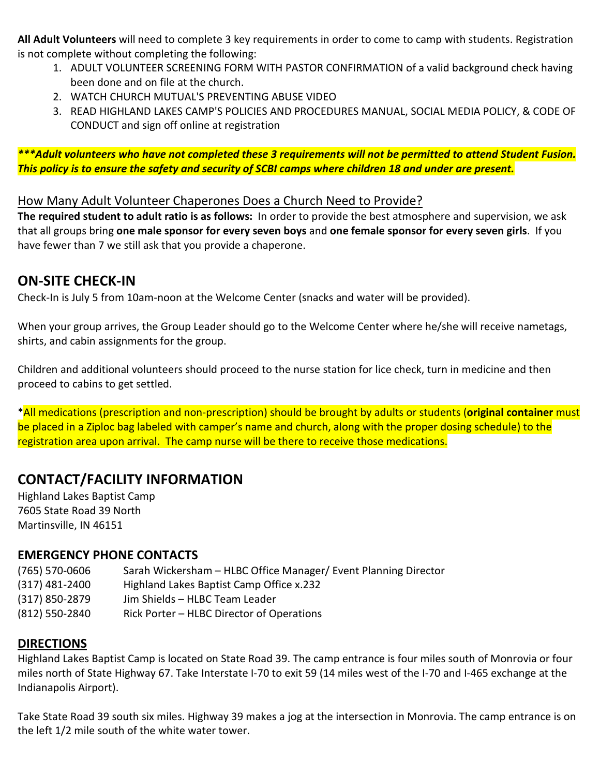**All Adult Volunteers** will need to complete 3 key requirements in order to come to camp with students. Registration is not complete without completing the following:

- 1. ADULT VOLUNTEER SCREENING FORM WITH PASTOR CONFIRMATION of a valid background check having been done and on file at the church.
- 2. WATCH CHURCH MUTUAL'S PREVENTING ABUSE VIDEO
- 3. READ HIGHLAND LAKES CAMP'S POLICIES AND PROCEDURES MANUAL, SOCIAL MEDIA POLICY, & CODE OF CONDUCT and sign off online at registration

*\*\*\*Adult volunteers who have not completed these 3 requirements will not be permitted to attend Student Fusion. This policy is to ensure the safety and security of SCBI camps where children 18 and under are present.* 

#### How Many Adult Volunteer Chaperones Does a Church Need to Provide?

**The required student to adult ratio is as follows:** In order to provide the best atmosphere and supervision, we ask that all groups bring **one male sponsor for every seven boys** and **one female sponsor for every seven girls**. If you have fewer than 7 we still ask that you provide a chaperone.

# **ON-SITE CHECK-IN**

Check-In is July 5 from 10am-noon at the Welcome Center (snacks and water will be provided).

When your group arrives, the Group Leader should go to the Welcome Center where he/she will receive nametags, shirts, and cabin assignments for the group.

Children and additional volunteers should proceed to the nurse station for lice check, turn in medicine and then proceed to cabins to get settled.

\*All medications (prescription and non-prescription) should be brought by adults or students (**original container** must be placed in a Ziploc bag labeled with camper's name and church, along with the proper dosing schedule) to the registration area upon arrival. The camp nurse will be there to receive those medications.

# **CONTACT/FACILITY INFORMATION**

Highland Lakes Baptist Camp 7605 State Road 39 North Martinsville, IN 46151

### **EMERGENCY PHONE CONTACTS**

(765) 570-0606 Sarah Wickersham – HLBC Office Manager/ Event Planning Director (317) 481-2400 Highland Lakes Baptist Camp Office x.232 (317) 850-2879 Jim Shields – HLBC Team Leader (812) 550-2840 Rick Porter – HLBC Director of Operations

## **DIRECTIONS**

Highland Lakes Baptist Camp is located on State Road 39. The camp entrance is four miles south of Monrovia or four miles north of State Highway 67. Take Interstate I-70 to exit 59 (14 miles west of the I-70 and I-465 exchange at the Indianapolis Airport).

Take State Road 39 south six miles. Highway 39 makes a jog at the intersection in Monrovia. The camp entrance is on the left 1/2 mile south of the white water tower.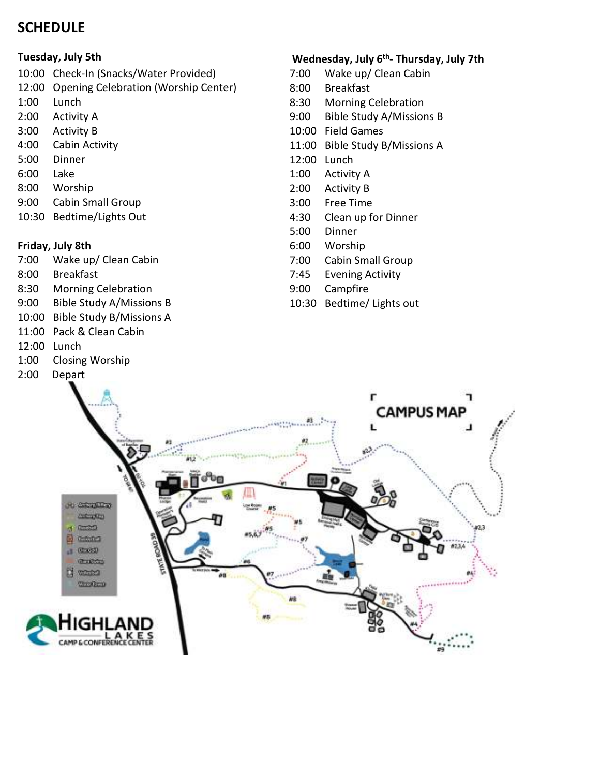# **SCHEDULE**

#### **Tuesday, July 5th**

- 10:00 Check-In (Snacks/Water Provided)
- 12:00 Opening Celebration (Worship Center)
- 1:00 Lunch
- 2:00 Activity A
- 3:00 Activity B
- 4:00 Cabin Activity
- 5:00 Dinner
- 6:00 Lake
- 8:00 Worship
- 9:00 Cabin Small Group
- 10:30 Bedtime/Lights Out

#### **Friday, July 8th**

- 7:00 Wake up/ Clean Cabin
- 8:00 Breakfast
- 8:30 Morning Celebration
- 9:00 Bible Study A/Missions B
- 10:00 Bible Study B/Missions A
- 11:00 Pack & Clean Cabin
- 12:00 Lunch
- 1:00 Closing Worship
- 2:00 Depart

## **Wednesday, July 6th- Thursday, July 7th**

- 7:00 Wake up/ Clean Cabin
- 8:00 Breakfast
- 8:30 Morning Celebration
- 9:00 Bible Study A/Missions B
- 10:00 Field Games
- 11:00 Bible Study B/Missions A
- 12:00 Lunch
- 1:00 Activity A
- 2:00 Activity B
- 3:00 Free Time
- 4:30 Clean up for Dinner
- 5:00 Dinner
- 6:00 Worship
- 7:00 Cabin Small Group
- 7:45 Evening Activity
- 9:00 Campfire
- 10:30 Bedtime/ Lights out

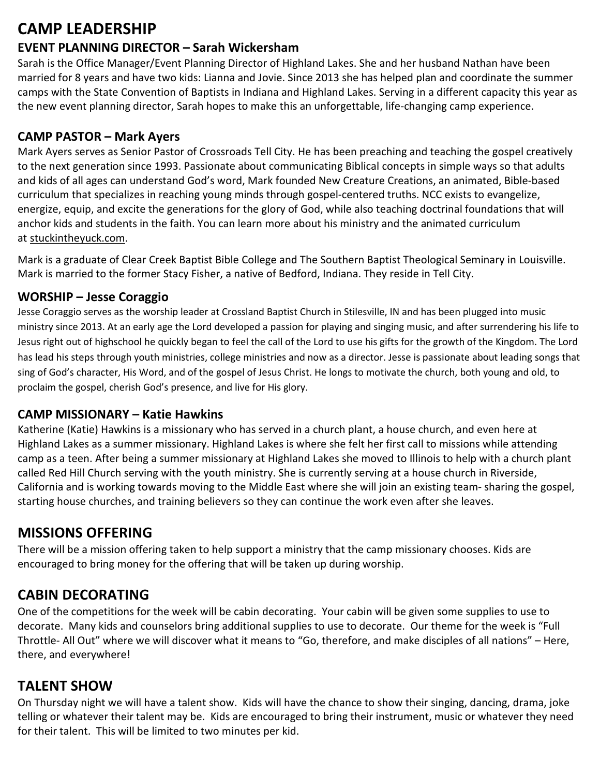# **CAMP LEADERSHIP**

# **EVENT PLANNING DIRECTOR – Sarah Wickersham**

Sarah is the Office Manager/Event Planning Director of Highland Lakes. She and her husband Nathan have been married for 8 years and have two kids: Lianna and Jovie. Since 2013 she has helped plan and coordinate the summer camps with the State Convention of Baptists in Indiana and Highland Lakes. Serving in a different capacity this year as the new event planning director, Sarah hopes to make this an unforgettable, life-changing camp experience.

## **CAMP PASTOR – Mark Ayers**

Mark Ayers serves as Senior Pastor of Crossroads Tell City. He has been preaching and teaching the gospel creatively to the next generation since 1993. Passionate about communicating Biblical concepts in simple ways so that adults and kids of all ages can understand God's word, Mark founded New Creature Creations, an animated, Bible-based curriculum that specializes in reaching young minds through gospel-centered truths. NCC exists to evangelize, energize, equip, and excite the generations for the glory of God, while also teaching doctrinal foundations that will anchor kids and students in the faith. You can learn more about his ministry and the animated curriculum at stuckintheyuck.com.

Mark is a graduate of Clear Creek Baptist Bible College and The Southern Baptist Theological Seminary in Louisville. Mark is married to the former Stacy Fisher, a native of Bedford, Indiana. They reside in Tell City.

### **WORSHIP – Jesse Coraggio**

Jesse Coraggio serves as the worship leader at Crossland Baptist Church in Stilesville, IN and has been plugged into music ministry since 2013. At an early age the Lord developed a passion for playing and singing music, and after surrendering his life to Jesus right out of highschool he quickly began to feel the call of the Lord to use his gifts for the growth of the Kingdom. The Lord has lead his steps through youth ministries, college ministries and now as a director. Jesse is passionate about leading songs that sing of God's character, His Word, and of the gospel of Jesus Christ. He longs to motivate the church, both young and old, to proclaim the gospel, cherish God's presence, and live for His glory.

### **CAMP MISSIONARY – Katie Hawkins**

Katherine (Katie) Hawkins is a missionary who has served in a church plant, a house church, and even here at Highland Lakes as a summer missionary. Highland Lakes is where she felt her first call to missions while attending camp as a teen. After being a summer missionary at Highland Lakes she moved to Illinois to help with a church plant called Red Hill Church serving with the youth ministry. She is currently serving at a house church in Riverside, California and is working towards moving to the Middle East where she will join an existing team- sharing the gospel, starting house churches, and training believers so they can continue the work even after she leaves.

# **MISSIONS OFFERING**

There will be a mission offering taken to help support a ministry that the camp missionary chooses. Kids are encouraged to bring money for the offering that will be taken up during worship.

# **CABIN DECORATING**

One of the competitions for the week will be cabin decorating. Your cabin will be given some supplies to use to decorate. Many kids and counselors bring additional supplies to use to decorate. Our theme for the week is "Full Throttle- All Out" where we will discover what it means to "Go, therefore, and make disciples of all nations" – Here, there, and everywhere!

# **TALENT SHOW**

On Thursday night we will have a talent show. Kids will have the chance to show their singing, dancing, drama, joke telling or whatever their talent may be. Kids are encouraged to bring their instrument, music or whatever they need for their talent. This will be limited to two minutes per kid.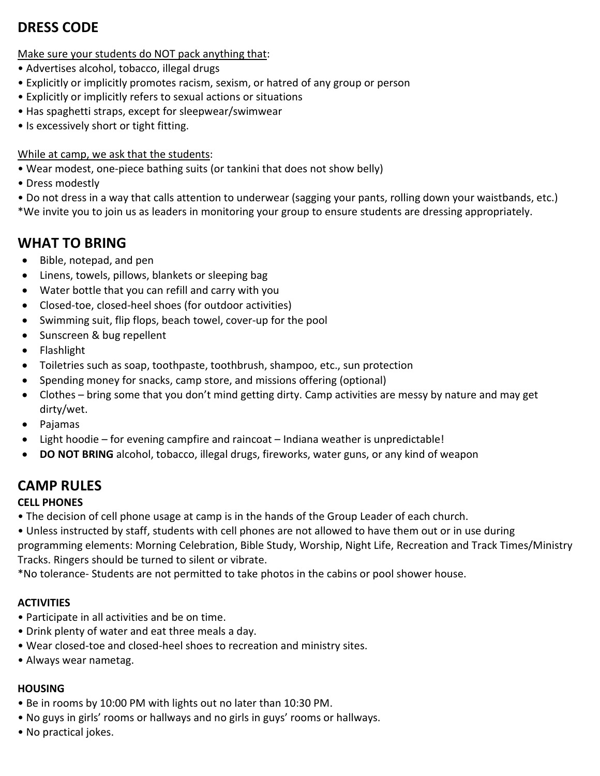# **DRESS CODE**

Make sure your students do NOT pack anything that:

- Advertises alcohol, tobacco, illegal drugs
- Explicitly or implicitly promotes racism, sexism, or hatred of any group or person
- Explicitly or implicitly refers to sexual actions or situations
- Has spaghetti straps, except for sleepwear/swimwear
- Is excessively short or tight fitting.

#### While at camp, we ask that the students:

- Wear modest, one-piece bathing suits (or tankini that does not show belly)
- Dress modestly
- Do not dress in a way that calls attention to underwear (sagging your pants, rolling down your waistbands, etc.)
- \*We invite you to join us as leaders in monitoring your group to ensure students are dressing appropriately.

## **WHAT TO BRING**

- Bible, notepad, and pen
- Linens, towels, pillows, blankets or sleeping bag
- Water bottle that you can refill and carry with you
- Closed-toe, closed-heel shoes (for outdoor activities)
- Swimming suit, flip flops, beach towel, cover-up for the pool
- Sunscreen & bug repellent
- Flashlight
- Toiletries such as soap, toothpaste, toothbrush, shampoo, etc., sun protection
- Spending money for snacks, camp store, and missions offering (optional)
- Clothes bring some that you don't mind getting dirty. Camp activities are messy by nature and may get dirty/wet.
- Pajamas
- Light hoodie for evening campfire and raincoat Indiana weather is unpredictable!
- **DO NOT BRING** alcohol, tobacco, illegal drugs, fireworks, water guns, or any kind of weapon

## **CAMP RULES**

#### **CELL PHONES**

• The decision of cell phone usage at camp is in the hands of the Group Leader of each church.

• Unless instructed by staff, students with cell phones are not allowed to have them out or in use during

programming elements: Morning Celebration, Bible Study, Worship, Night Life, Recreation and Track Times/Ministry Tracks. Ringers should be turned to silent or vibrate.

\*No tolerance- Students are not permitted to take photos in the cabins or pool shower house.

#### **ACTIVITIES**

- Participate in all activities and be on time.
- Drink plenty of water and eat three meals a day.
- Wear closed-toe and closed-heel shoes to recreation and ministry sites.
- Always wear nametag.

#### **HOUSING**

- Be in rooms by 10:00 PM with lights out no later than 10:30 PM.
- No guys in girls' rooms or hallways and no girls in guys' rooms or hallways.
- No practical jokes.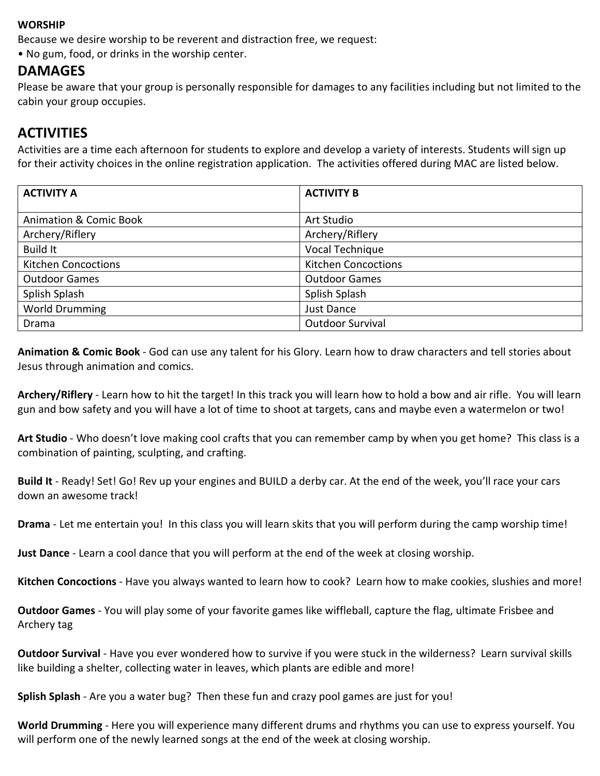#### **WORSHIP**

Because we desire worship to be reverent and distraction free, we request:

• No gum, food, or drinks in the worship center.

### **DAMAGES**

Please be aware that your group is personally responsible for damages to any facilities including but not limited to the cabin your group occupies.

## **ACTIVITIES**

Activities are a time each afternoon for students to explore and develop a variety of interests. Students will sign up for their activity choices in the online registration application. The activities offered during MAC are listed below.

| <b>ACTIVITY A</b>                 | <b>ACTIVITY B</b>          |
|-----------------------------------|----------------------------|
|                                   |                            |
| <b>Animation &amp; Comic Book</b> | Art Studio                 |
| Archery/Riflery                   | Archery/Riflery            |
| <b>Build It</b>                   | Vocal Technique            |
| <b>Kitchen Concoctions</b>        | <b>Kitchen Concoctions</b> |
| <b>Outdoor Games</b>              | <b>Outdoor Games</b>       |
| Splish Splash                     | Splish Splash              |
| <b>World Drumming</b>             | Just Dance                 |
| Drama                             | Outdoor Survival           |

**Animation & Comic Book** - God can use any talent for his Glory. Learn how to draw characters and tell stories about Jesus through animation and comics.

**Archery/Riflery** - Learn how to hit the target! In this track you will learn how to hold a bow and air rifle. You will learn gun and bow safety and you will have a lot of time to shoot at targets, cans and maybe even a watermelon or two!

**Art Studio** - Who doesn't love making cool crafts that you can remember camp by when you get home? This class is a combination of painting, sculpting, and crafting.

**Build It** - Ready! Set! Go! Rev up your engines and BUILD a derby car. At the end of the week, you'll race your cars down an awesome track!

**Drama** - Let me entertain you! In this class you will learn skits that you will perform during the camp worship time!

**Just Dance** - Learn a cool dance that you will perform at the end of the week at closing worship.

**Kitchen Concoctions** - Have you always wanted to learn how to cook? Learn how to make cookies, slushies and more!

**Outdoor Games** - You will play some of your favorite games like wiffleball, capture the flag, ultimate Frisbee and Archery tag

**Outdoor Survival** - Have you ever wondered how to survive if you were stuck in the wilderness? Learn survival skills like building a shelter, collecting water in leaves, which plants are edible and more!

**Splish Splash** - Are you a water bug? Then these fun and crazy pool games are just for you!

**World Drumming** - Here you will experience many different drums and rhythms you can use to express yourself. You will perform one of the newly learned songs at the end of the week at closing worship.